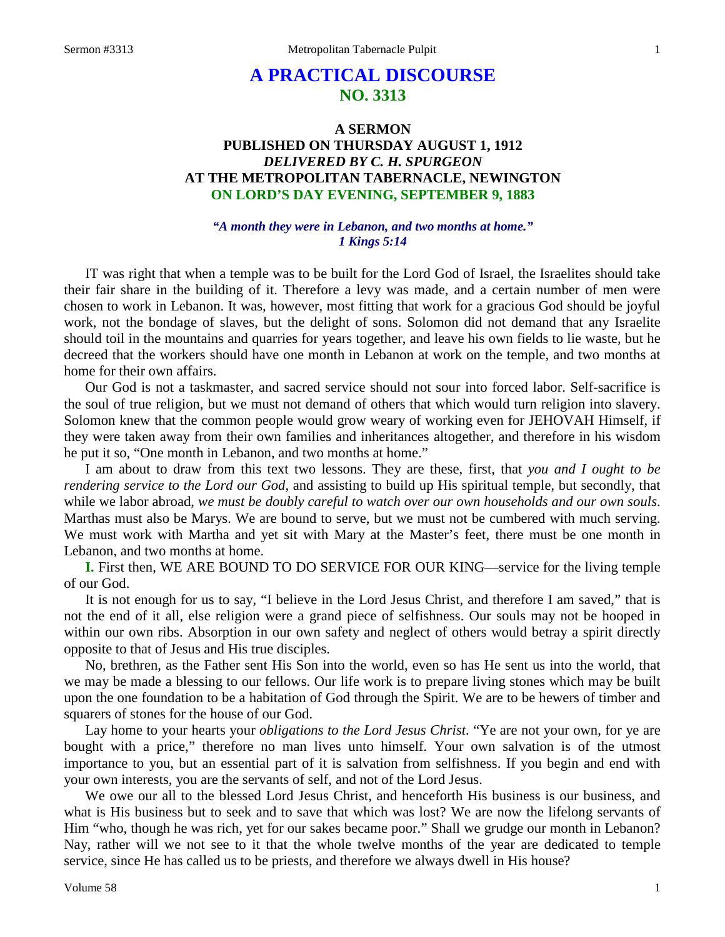# **A PRACTICAL DISCOURSE NO. 3313**

# **A SERMON PUBLISHED ON THURSDAY AUGUST 1, 1912** *DELIVERED BY C. H. SPURGEON* **AT THE METROPOLITAN TABERNACLE, NEWINGTON ON LORD'S DAY EVENING, SEPTEMBER 9, 1883**

#### *"A month they were in Lebanon, and two months at home." 1 Kings 5:14*

IT was right that when a temple was to be built for the Lord God of Israel, the Israelites should take their fair share in the building of it. Therefore a levy was made, and a certain number of men were chosen to work in Lebanon. It was, however, most fitting that work for a gracious God should be joyful work, not the bondage of slaves, but the delight of sons. Solomon did not demand that any Israelite should toil in the mountains and quarries for years together, and leave his own fields to lie waste, but he decreed that the workers should have one month in Lebanon at work on the temple, and two months at home for their own affairs.

Our God is not a taskmaster, and sacred service should not sour into forced labor. Self-sacrifice is the soul of true religion, but we must not demand of others that which would turn religion into slavery. Solomon knew that the common people would grow weary of working even for JEHOVAH Himself, if they were taken away from their own families and inheritances altogether, and therefore in his wisdom he put it so, "One month in Lebanon, and two months at home."

I am about to draw from this text two lessons. They are these, first, that *you and I ought to be rendering service to the Lord our God,* and assisting to build up His spiritual temple, but secondly, that while we labor abroad, *we must be doubly careful to watch over our own households and our own souls*. Marthas must also be Marys. We are bound to serve, but we must not be cumbered with much serving. We must work with Martha and yet sit with Mary at the Master's feet, there must be one month in Lebanon, and two months at home.

**I.** First then, WE ARE BOUND TO DO SERVICE FOR OUR KING—service for the living temple of our God.

It is not enough for us to say, "I believe in the Lord Jesus Christ, and therefore I am saved," that is not the end of it all, else religion were a grand piece of selfishness. Our souls may not be hooped in within our own ribs. Absorption in our own safety and neglect of others would betray a spirit directly opposite to that of Jesus and His true disciples.

No, brethren, as the Father sent His Son into the world, even so has He sent us into the world, that we may be made a blessing to our fellows. Our life work is to prepare living stones which may be built upon the one foundation to be a habitation of God through the Spirit. We are to be hewers of timber and squarers of stones for the house of our God.

Lay home to your hearts your *obligations to the Lord Jesus Christ*. "Ye are not your own, for ye are bought with a price," therefore no man lives unto himself. Your own salvation is of the utmost importance to you, but an essential part of it is salvation from selfishness. If you begin and end with your own interests, you are the servants of self, and not of the Lord Jesus.

We owe our all to the blessed Lord Jesus Christ, and henceforth His business is our business, and what is His business but to seek and to save that which was lost? We are now the lifelong servants of Him "who, though he was rich, yet for our sakes became poor." Shall we grudge our month in Lebanon? Nay, rather will we not see to it that the whole twelve months of the year are dedicated to temple service, since He has called us to be priests, and therefore we always dwell in His house?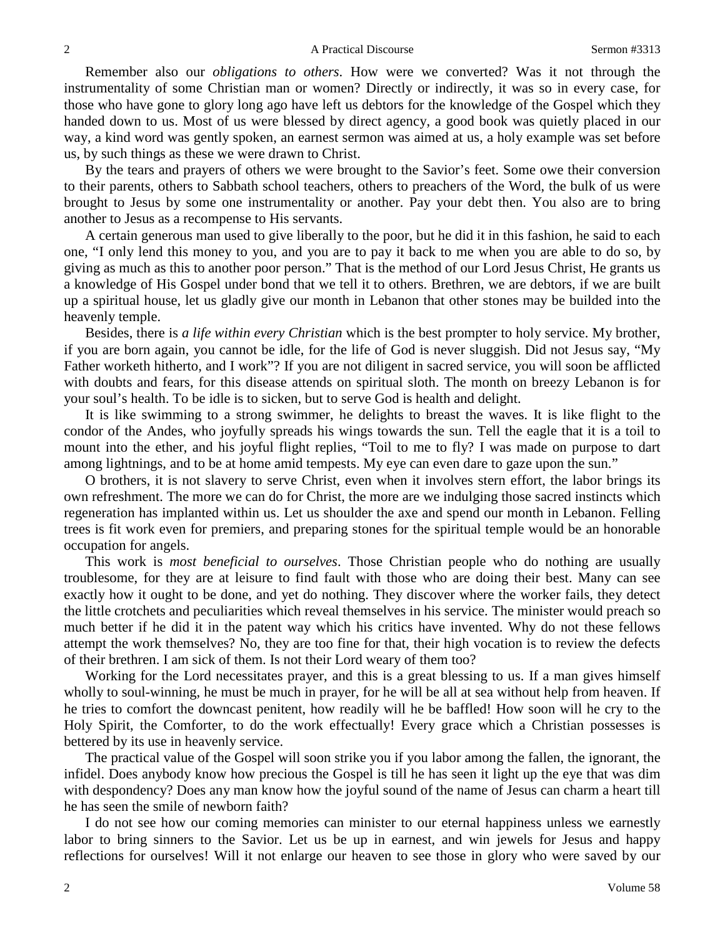Remember also our *obligations to others*. How were we converted? Was it not through the instrumentality of some Christian man or women? Directly or indirectly, it was so in every case, for those who have gone to glory long ago have left us debtors for the knowledge of the Gospel which they handed down to us. Most of us were blessed by direct agency, a good book was quietly placed in our way, a kind word was gently spoken, an earnest sermon was aimed at us, a holy example was set before us, by such things as these we were drawn to Christ.

By the tears and prayers of others we were brought to the Savior's feet. Some owe their conversion to their parents, others to Sabbath school teachers, others to preachers of the Word, the bulk of us were brought to Jesus by some one instrumentality or another. Pay your debt then. You also are to bring another to Jesus as a recompense to His servants.

A certain generous man used to give liberally to the poor, but he did it in this fashion, he said to each one, "I only lend this money to you, and you are to pay it back to me when you are able to do so, by giving as much as this to another poor person." That is the method of our Lord Jesus Christ, He grants us a knowledge of His Gospel under bond that we tell it to others. Brethren, we are debtors, if we are built up a spiritual house, let us gladly give our month in Lebanon that other stones may be builded into the heavenly temple.

Besides, there is *a life within every Christian* which is the best prompter to holy service. My brother, if you are born again, you cannot be idle, for the life of God is never sluggish. Did not Jesus say, "My Father worketh hitherto, and I work"? If you are not diligent in sacred service, you will soon be afflicted with doubts and fears, for this disease attends on spiritual sloth. The month on breezy Lebanon is for your soul's health. To be idle is to sicken, but to serve God is health and delight.

It is like swimming to a strong swimmer, he delights to breast the waves. It is like flight to the condor of the Andes, who joyfully spreads his wings towards the sun. Tell the eagle that it is a toil to mount into the ether, and his joyful flight replies, "Toil to me to fly? I was made on purpose to dart among lightnings, and to be at home amid tempests. My eye can even dare to gaze upon the sun."

O brothers, it is not slavery to serve Christ, even when it involves stern effort, the labor brings its own refreshment. The more we can do for Christ, the more are we indulging those sacred instincts which regeneration has implanted within us. Let us shoulder the axe and spend our month in Lebanon. Felling trees is fit work even for premiers, and preparing stones for the spiritual temple would be an honorable occupation for angels.

This work is *most beneficial to ourselves*. Those Christian people who do nothing are usually troublesome, for they are at leisure to find fault with those who are doing their best. Many can see exactly how it ought to be done, and yet do nothing. They discover where the worker fails, they detect the little crotchets and peculiarities which reveal themselves in his service. The minister would preach so much better if he did it in the patent way which his critics have invented. Why do not these fellows attempt the work themselves? No, they are too fine for that, their high vocation is to review the defects of their brethren. I am sick of them. Is not their Lord weary of them too?

Working for the Lord necessitates prayer, and this is a great blessing to us. If a man gives himself wholly to soul-winning, he must be much in prayer, for he will be all at sea without help from heaven. If he tries to comfort the downcast penitent, how readily will he be baffled! How soon will he cry to the Holy Spirit, the Comforter, to do the work effectually! Every grace which a Christian possesses is bettered by its use in heavenly service.

The practical value of the Gospel will soon strike you if you labor among the fallen, the ignorant, the infidel. Does anybody know how precious the Gospel is till he has seen it light up the eye that was dim with despondency? Does any man know how the joyful sound of the name of Jesus can charm a heart till he has seen the smile of newborn faith?

I do not see how our coming memories can minister to our eternal happiness unless we earnestly labor to bring sinners to the Savior. Let us be up in earnest, and win jewels for Jesus and happy reflections for ourselves! Will it not enlarge our heaven to see those in glory who were saved by our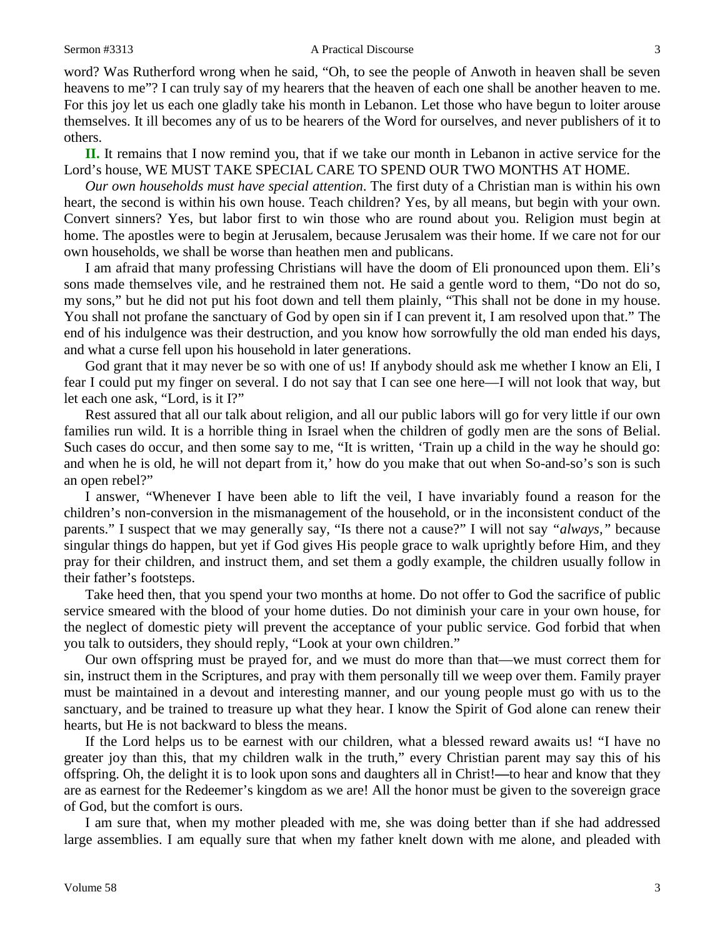word? Was Rutherford wrong when he said, "Oh, to see the people of Anwoth in heaven shall be seven heavens to me"? I can truly say of my hearers that the heaven of each one shall be another heaven to me. For this joy let us each one gladly take his month in Lebanon. Let those who have begun to loiter arouse themselves. It ill becomes any of us to be hearers of the Word for ourselves, and never publishers of it to others.

**II.** It remains that I now remind you, that if we take our month in Lebanon in active service for the Lord's house, WE MUST TAKE SPECIAL CARE TO SPEND OUR TWO MONTHS AT HOME.

*Our own households must have special attention*. The first duty of a Christian man is within his own heart, the second is within his own house. Teach children? Yes, by all means, but begin with your own. Convert sinners? Yes, but labor first to win those who are round about you. Religion must begin at home. The apostles were to begin at Jerusalem, because Jerusalem was their home. If we care not for our own households, we shall be worse than heathen men and publicans.

I am afraid that many professing Christians will have the doom of Eli pronounced upon them. Eli's sons made themselves vile, and he restrained them not. He said a gentle word to them, "Do not do so, my sons," but he did not put his foot down and tell them plainly, "This shall not be done in my house. You shall not profane the sanctuary of God by open sin if I can prevent it, I am resolved upon that." The end of his indulgence was their destruction, and you know how sorrowfully the old man ended his days, and what a curse fell upon his household in later generations.

God grant that it may never be so with one of us! If anybody should ask me whether I know an Eli, I fear I could put my finger on several. I do not say that I can see one here—I will not look that way, but let each one ask, "Lord, is it I?"

Rest assured that all our talk about religion, and all our public labors will go for very little if our own families run wild. It is a horrible thing in Israel when the children of godly men are the sons of Belial. Such cases do occur, and then some say to me, "It is written, 'Train up a child in the way he should go: and when he is old, he will not depart from it,' how do you make that out when So-and-so's son is such an open rebel?"

I answer, "Whenever I have been able to lift the veil, I have invariably found a reason for the children's non-conversion in the mismanagement of the household, or in the inconsistent conduct of the parents." I suspect that we may generally say, "Is there not a cause?" I will not say *"always,"* because singular things do happen, but yet if God gives His people grace to walk uprightly before Him, and they pray for their children, and instruct them, and set them a godly example, the children usually follow in their father's footsteps.

Take heed then, that you spend your two months at home. Do not offer to God the sacrifice of public service smeared with the blood of your home duties. Do not diminish your care in your own house, for the neglect of domestic piety will prevent the acceptance of your public service. God forbid that when you talk to outsiders, they should reply, "Look at your own children."

Our own offspring must be prayed for, and we must do more than that—we must correct them for sin, instruct them in the Scriptures, and pray with them personally till we weep over them. Family prayer must be maintained in a devout and interesting manner, and our young people must go with us to the sanctuary, and be trained to treasure up what they hear. I know the Spirit of God alone can renew their hearts, but He is not backward to bless the means.

If the Lord helps us to be earnest with our children, what a blessed reward awaits us! "I have no greater joy than this, that my children walk in the truth," every Christian parent may say this of his offspring. Oh, the delight it is to look upon sons and daughters all in Christ!**—**to hear and know that they are as earnest for the Redeemer's kingdom as we are! All the honor must be given to the sovereign grace of God, but the comfort is ours.

I am sure that, when my mother pleaded with me, she was doing better than if she had addressed large assemblies. I am equally sure that when my father knelt down with me alone, and pleaded with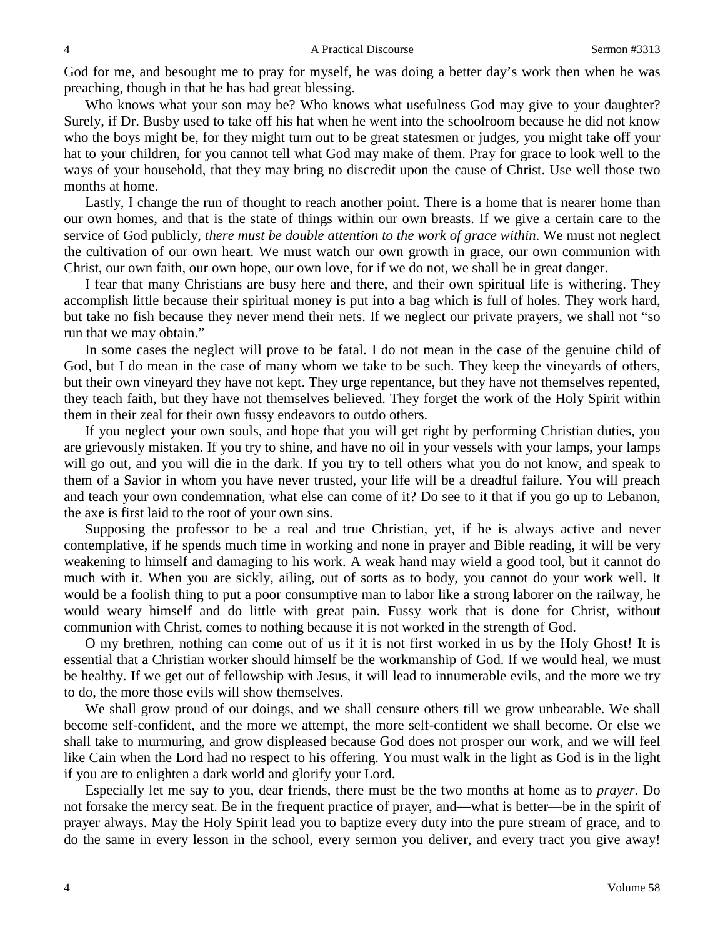God for me, and besought me to pray for myself, he was doing a better day's work then when he was preaching, though in that he has had great blessing.

Who knows what your son may be? Who knows what usefulness God may give to your daughter? Surely, if Dr. Busby used to take off his hat when he went into the schoolroom because he did not know who the boys might be, for they might turn out to be great statesmen or judges, you might take off your hat to your children, for you cannot tell what God may make of them. Pray for grace to look well to the ways of your household, that they may bring no discredit upon the cause of Christ. Use well those two months at home.

Lastly, I change the run of thought to reach another point. There is a home that is nearer home than our own homes, and that is the state of things within our own breasts. If we give a certain care to the service of God publicly, *there must be double attention to the work of grace within*. We must not neglect the cultivation of our own heart. We must watch our own growth in grace, our own communion with Christ, our own faith, our own hope, our own love, for if we do not, we shall be in great danger.

I fear that many Christians are busy here and there, and their own spiritual life is withering. They accomplish little because their spiritual money is put into a bag which is full of holes. They work hard, but take no fish because they never mend their nets. If we neglect our private prayers, we shall not "so run that we may obtain."

In some cases the neglect will prove to be fatal. I do not mean in the case of the genuine child of God, but I do mean in the case of many whom we take to be such. They keep the vineyards of others, but their own vineyard they have not kept. They urge repentance, but they have not themselves repented, they teach faith, but they have not themselves believed. They forget the work of the Holy Spirit within them in their zeal for their own fussy endeavors to outdo others.

If you neglect your own souls, and hope that you will get right by performing Christian duties, you are grievously mistaken. If you try to shine, and have no oil in your vessels with your lamps, your lamps will go out, and you will die in the dark. If you try to tell others what you do not know, and speak to them of a Savior in whom you have never trusted, your life will be a dreadful failure. You will preach and teach your own condemnation, what else can come of it? Do see to it that if you go up to Lebanon, the axe is first laid to the root of your own sins.

Supposing the professor to be a real and true Christian, yet, if he is always active and never contemplative, if he spends much time in working and none in prayer and Bible reading, it will be very weakening to himself and damaging to his work. A weak hand may wield a good tool, but it cannot do much with it. When you are sickly, ailing, out of sorts as to body, you cannot do your work well. It would be a foolish thing to put a poor consumptive man to labor like a strong laborer on the railway, he would weary himself and do little with great pain. Fussy work that is done for Christ, without communion with Christ, comes to nothing because it is not worked in the strength of God.

O my brethren, nothing can come out of us if it is not first worked in us by the Holy Ghost! It is essential that a Christian worker should himself be the workmanship of God. If we would heal, we must be healthy. If we get out of fellowship with Jesus, it will lead to innumerable evils, and the more we try to do, the more those evils will show themselves.

We shall grow proud of our doings, and we shall censure others till we grow unbearable. We shall become self-confident, and the more we attempt, the more self-confident we shall become. Or else we shall take to murmuring, and grow displeased because God does not prosper our work, and we will feel like Cain when the Lord had no respect to his offering. You must walk in the light as God is in the light if you are to enlighten a dark world and glorify your Lord.

Especially let me say to you, dear friends, there must be the two months at home as to *prayer*. Do not forsake the mercy seat. Be in the frequent practice of prayer, and**—**what is better—be in the spirit of prayer always. May the Holy Spirit lead you to baptize every duty into the pure stream of grace, and to do the same in every lesson in the school, every sermon you deliver, and every tract you give away!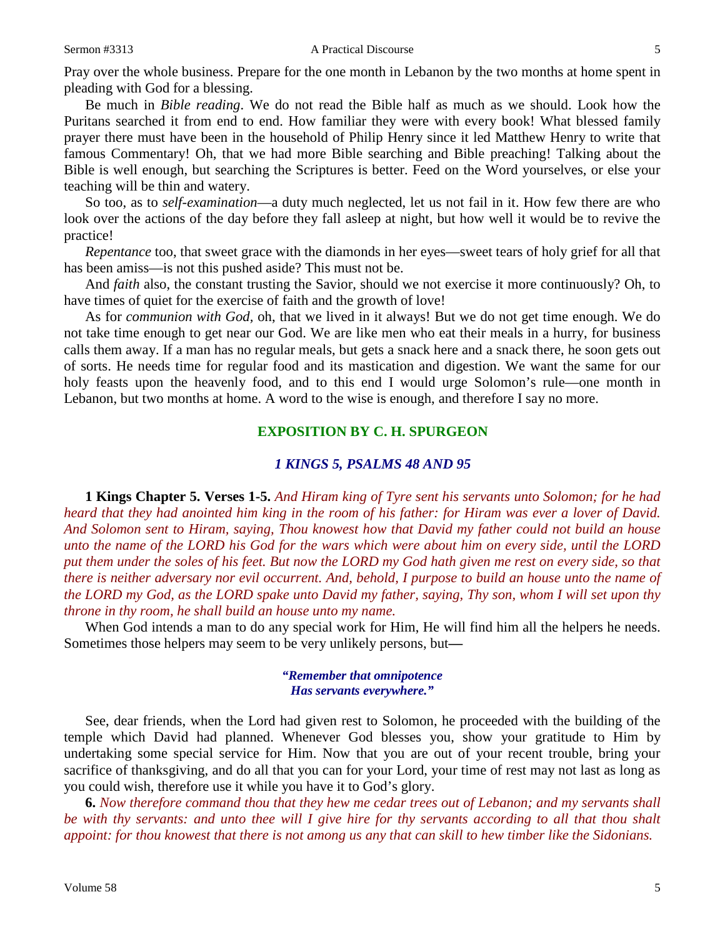Pray over the whole business. Prepare for the one month in Lebanon by the two months at home spent in pleading with God for a blessing.

Be much in *Bible reading*. We do not read the Bible half as much as we should. Look how the Puritans searched it from end to end. How familiar they were with every book! What blessed family prayer there must have been in the household of Philip Henry since it led Matthew Henry to write that famous Commentary! Oh, that we had more Bible searching and Bible preaching! Talking about the Bible is well enough, but searching the Scriptures is better. Feed on the Word yourselves, or else your teaching will be thin and watery.

So too, as to *self-examination*—a duty much neglected, let us not fail in it. How few there are who look over the actions of the day before they fall asleep at night, but how well it would be to revive the practice!

*Repentance* too, that sweet grace with the diamonds in her eyes—sweet tears of holy grief for all that has been amiss—is not this pushed aside? This must not be.

And *faith* also, the constant trusting the Savior, should we not exercise it more continuously? Oh, to have times of quiet for the exercise of faith and the growth of love!

As for *communion with God,* oh, that we lived in it always! But we do not get time enough. We do not take time enough to get near our God. We are like men who eat their meals in a hurry, for business calls them away. If a man has no regular meals, but gets a snack here and a snack there, he soon gets out of sorts. He needs time for regular food and its mastication and digestion. We want the same for our holy feasts upon the heavenly food, and to this end I would urge Solomon's rule—one month in Lebanon, but two months at home. A word to the wise is enough, and therefore I say no more.

# **EXPOSITION BY C. H. SPURGEON**

#### *1 KINGS 5, PSALMS 48 AND 95*

**1 Kings Chapter 5. Verses 1-5.** *And Hiram king of Tyre sent his servants unto Solomon; for he had heard that they had anointed him king in the room of his father: for Hiram was ever a lover of David. And Solomon sent to Hiram, saying, Thou knowest how that David my father could not build an house unto the name of the LORD his God for the wars which were about him on every side, until the LORD put them under the soles of his feet. But now the LORD my God hath given me rest on every side, so that there is neither adversary nor evil occurrent. And, behold, I purpose to build an house unto the name of the LORD my God, as the LORD spake unto David my father, saying, Thy son, whom I will set upon thy throne in thy room, he shall build an house unto my name.* 

When God intends a man to do any special work for Him, He will find him all the helpers he needs. Sometimes those helpers may seem to be very unlikely persons, but**—**

#### *"Remember that omnipotence Has servants everywhere."*

See, dear friends, when the Lord had given rest to Solomon, he proceeded with the building of the temple which David had planned. Whenever God blesses you, show your gratitude to Him by undertaking some special service for Him. Now that you are out of your recent trouble, bring your sacrifice of thanksgiving, and do all that you can for your Lord, your time of rest may not last as long as you could wish, therefore use it while you have it to God's glory.

**6.** *Now therefore command thou that they hew me cedar trees out of Lebanon; and my servants shall be with thy servants: and unto thee will I give hire for thy servants according to all that thou shalt appoint: for thou knowest that there is not among us any that can skill to hew timber like the Sidonians.*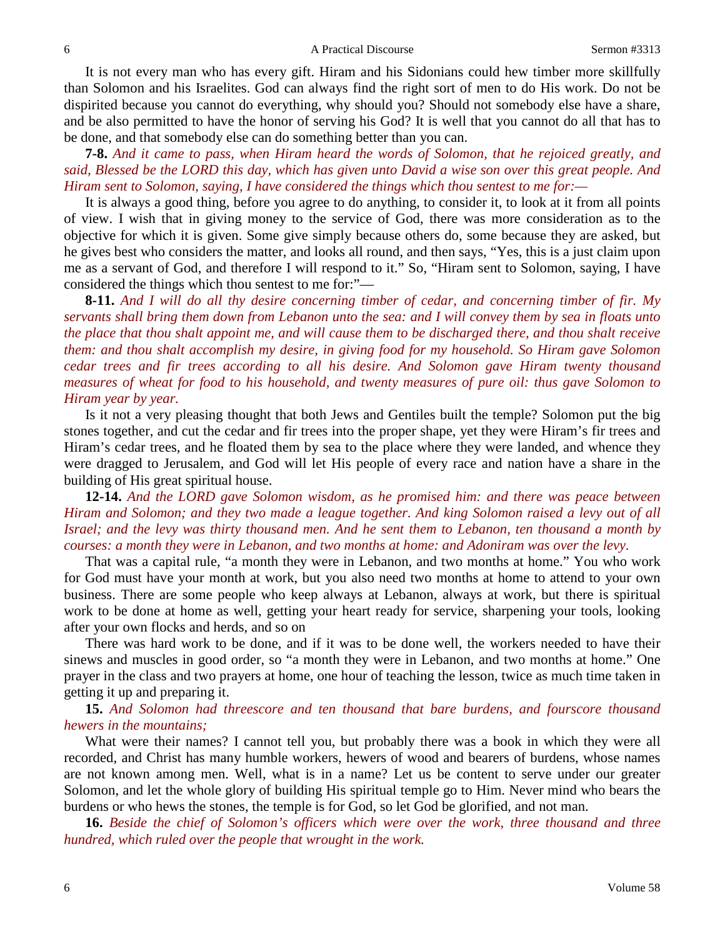It is not every man who has every gift. Hiram and his Sidonians could hew timber more skillfully than Solomon and his Israelites. God can always find the right sort of men to do His work. Do not be dispirited because you cannot do everything, why should you? Should not somebody else have a share, and be also permitted to have the honor of serving his God? It is well that you cannot do all that has to be done, and that somebody else can do something better than you can.

**7-8.** *And it came to pass, when Hiram heard the words of Solomon, that he rejoiced greatly, and said, Blessed be the LORD this day, which has given unto David a wise son over this great people. And Hiram sent to Solomon, saying, I have considered the things which thou sentest to me for:*—

It is always a good thing, before you agree to do anything, to consider it, to look at it from all points of view. I wish that in giving money to the service of God, there was more consideration as to the objective for which it is given. Some give simply because others do, some because they are asked, but he gives best who considers the matter, and looks all round, and then says, "Yes, this is a just claim upon me as a servant of God, and therefore I will respond to it." So, "Hiram sent to Solomon, saying, I have considered the things which thou sentest to me for:"—

**8-11.** *And I will do all thy desire concerning timber of cedar, and concerning timber of fir. My servants shall bring them down from Lebanon unto the sea: and I will convey them by sea in floats unto the place that thou shalt appoint me, and will cause them to be discharged there, and thou shalt receive them: and thou shalt accomplish my desire, in giving food for my household. So Hiram gave Solomon cedar trees and fir trees according to all his desire. And Solomon gave Hiram twenty thousand measures of wheat for food to his household, and twenty measures of pure oil: thus gave Solomon to Hiram year by year.*

Is it not a very pleasing thought that both Jews and Gentiles built the temple? Solomon put the big stones together, and cut the cedar and fir trees into the proper shape, yet they were Hiram's fir trees and Hiram's cedar trees, and he floated them by sea to the place where they were landed, and whence they were dragged to Jerusalem, and God will let His people of every race and nation have a share in the building of His great spiritual house.

**12-14.** *And the LORD gave Solomon wisdom, as he promised him: and there was peace between Hiram and Solomon; and they two made a league together. And king Solomon raised a levy out of all Israel; and the levy was thirty thousand men. And he sent them to Lebanon, ten thousand a month by courses: a month they were in Lebanon, and two months at home: and Adoniram was over the levy.*

That was a capital rule, "a month they were in Lebanon, and two months at home." You who work for God must have your month at work, but you also need two months at home to attend to your own business. There are some people who keep always at Lebanon, always at work, but there is spiritual work to be done at home as well, getting your heart ready for service, sharpening your tools, looking after your own flocks and herds, and so on

There was hard work to be done, and if it was to be done well, the workers needed to have their sinews and muscles in good order, so "a month they were in Lebanon, and two months at home." One prayer in the class and two prayers at home, one hour of teaching the lesson, twice as much time taken in getting it up and preparing it.

**15.** *And Solomon had threescore and ten thousand that bare burdens, and fourscore thousand hewers in the mountains;*

What were their names? I cannot tell you, but probably there was a book in which they were all recorded, and Christ has many humble workers, hewers of wood and bearers of burdens, whose names are not known among men. Well, what is in a name? Let us be content to serve under our greater Solomon, and let the whole glory of building His spiritual temple go to Him. Never mind who bears the burdens or who hews the stones, the temple is for God, so let God be glorified, and not man.

**16.** *Beside the chief of Solomon's officers which were over the work, three thousand and three hundred, which ruled over the people that wrought in the work.*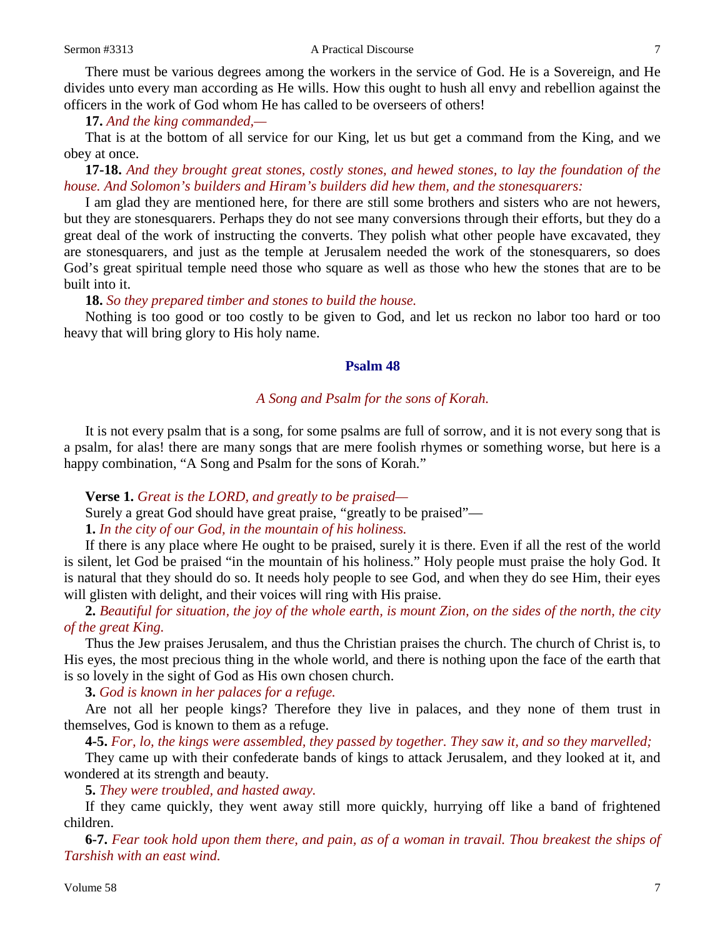There must be various degrees among the workers in the service of God. He is a Sovereign, and He divides unto every man according as He wills. How this ought to hush all envy and rebellion against the officers in the work of God whom He has called to be overseers of others!

**17.** *And the king commanded,—*

That is at the bottom of all service for our King, let us but get a command from the King, and we obey at once.

**17-18.** *And they brought great stones, costly stones, and hewed stones, to lay the foundation of the house. And Solomon's builders and Hiram's builders did hew them, and the stonesquarers:*

I am glad they are mentioned here, for there are still some brothers and sisters who are not hewers, but they are stonesquarers. Perhaps they do not see many conversions through their efforts, but they do a great deal of the work of instructing the converts. They polish what other people have excavated, they are stonesquarers, and just as the temple at Jerusalem needed the work of the stonesquarers, so does God's great spiritual temple need those who square as well as those who hew the stones that are to be built into it.

**18.** *So they prepared timber and stones to build the house.*

Nothing is too good or too costly to be given to God, and let us reckon no labor too hard or too heavy that will bring glory to His holy name.

#### **Psalm 48**

### *A Song and Psalm for the sons of Korah.*

It is not every psalm that is a song, for some psalms are full of sorrow, and it is not every song that is a psalm, for alas! there are many songs that are mere foolish rhymes or something worse, but here is a happy combination, "A Song and Psalm for the sons of Korah."

**Verse 1.** *Great is the LORD, and greatly to be praised—*

Surely a great God should have great praise, "greatly to be praised"—

**1.** *In the city of our God, in the mountain of his holiness.*

If there is any place where He ought to be praised, surely it is there. Even if all the rest of the world is silent, let God be praised "in the mountain of his holiness." Holy people must praise the holy God. It is natural that they should do so. It needs holy people to see God, and when they do see Him, their eyes will glisten with delight, and their voices will ring with His praise.

**2.** *Beautiful for situation, the joy of the whole earth, is mount Zion, on the sides of the north, the city of the great King.*

Thus the Jew praises Jerusalem, and thus the Christian praises the church. The church of Christ is, to His eyes, the most precious thing in the whole world, and there is nothing upon the face of the earth that is so lovely in the sight of God as His own chosen church.

**3.** *God is known in her palaces for a refuge.*

Are not all her people kings? Therefore they live in palaces, and they none of them trust in themselves, God is known to them as a refuge.

**4-5.** *For, lo, the kings were assembled, they passed by together. They saw it, and so they marvelled;*

They came up with their confederate bands of kings to attack Jerusalem, and they looked at it, and wondered at its strength and beauty.

**5.** *They were troubled, and hasted away.*

If they came quickly, they went away still more quickly, hurrying off like a band of frightened children.

**6-7.** *Fear took hold upon them there, and pain, as of a woman in travail. Thou breakest the ships of Tarshish with an east wind.*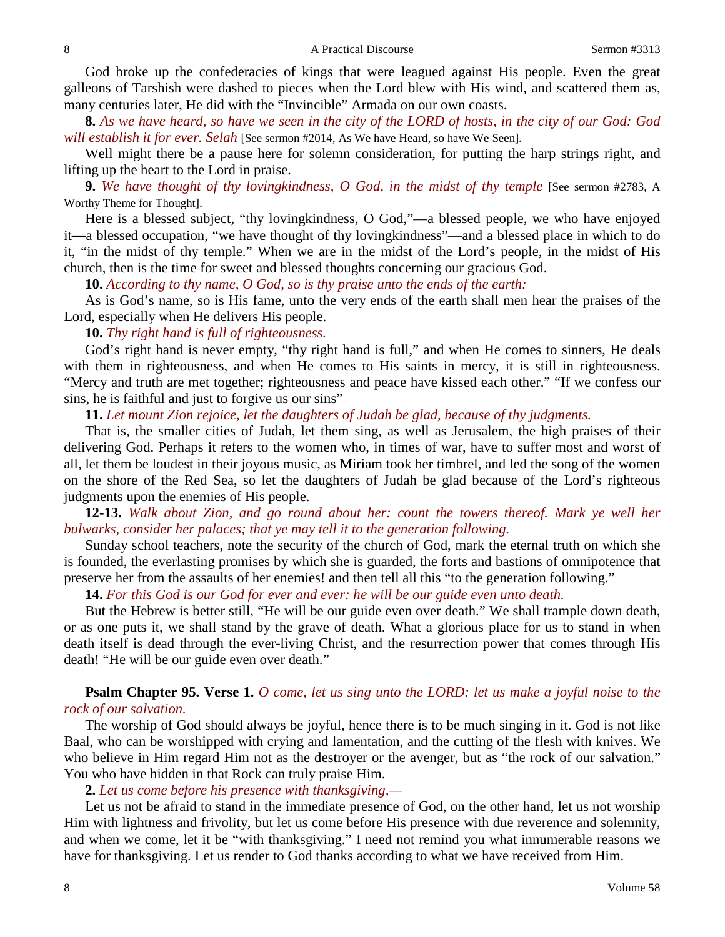God broke up the confederacies of kings that were leagued against His people. Even the great galleons of Tarshish were dashed to pieces when the Lord blew with His wind, and scattered them as, many centuries later, He did with the "Invincible" Armada on our own coasts.

**8.** *As we have heard, so have we seen in the city of the LORD of hosts, in the city of our God: God will establish it for ever. Selah* [See sermon #2014, As We have Heard, so have We Seen]*.*

Well might there be a pause here for solemn consideration, for putting the harp strings right, and lifting up the heart to the Lord in praise.

**9.** *We have thought of thy lovingkindness, O God, in the midst of thy temple* [See sermon #2783, A Worthy Theme for Thought]*.*

Here is a blessed subject, "thy lovingkindness, O God,"—a blessed people, we who have enjoyed it**—**a blessed occupation, "we have thought of thy lovingkindness"—and a blessed place in which to do it, "in the midst of thy temple." When we are in the midst of the Lord's people, in the midst of His church, then is the time for sweet and blessed thoughts concerning our gracious God.

**10.** *According to thy name, O God, so is thy praise unto the ends of the earth:*

As is God's name, so is His fame, unto the very ends of the earth shall men hear the praises of the Lord, especially when He delivers His people.

**10.** *Thy right hand is full of righteousness.*

God's right hand is never empty, "thy right hand is full," and when He comes to sinners, He deals with them in righteousness, and when He comes to His saints in mercy, it is still in righteousness. "Mercy and truth are met together; righteousness and peace have kissed each other." "If we confess our sins, he is faithful and just to forgive us our sins"

**11.** *Let mount Zion rejoice, let the daughters of Judah be glad, because of thy judgments.*

That is, the smaller cities of Judah, let them sing, as well as Jerusalem, the high praises of their delivering God. Perhaps it refers to the women who, in times of war, have to suffer most and worst of all, let them be loudest in their joyous music, as Miriam took her timbrel, and led the song of the women on the shore of the Red Sea, so let the daughters of Judah be glad because of the Lord's righteous judgments upon the enemies of His people.

**12-13.** *Walk about Zion, and go round about her: count the towers thereof. Mark ye well her bulwarks, consider her palaces; that ye may tell it to the generation following.*

Sunday school teachers, note the security of the church of God, mark the eternal truth on which she is founded, the everlasting promises by which she is guarded, the forts and bastions of omnipotence that preserve her from the assaults of her enemies! and then tell all this "to the generation following."

**14.** *For this God is our God for ever and ever: he will be our guide even unto death.*

But the Hebrew is better still, "He will be our guide even over death." We shall trample down death, or as one puts it, we shall stand by the grave of death. What a glorious place for us to stand in when death itself is dead through the ever-living Christ, and the resurrection power that comes through His death! "He will be our guide even over death."

# **Psalm Chapter 95. Verse 1.** *O come, let us sing unto the LORD: let us make a joyful noise to the rock of our salvation.*

The worship of God should always be joyful, hence there is to be much singing in it. God is not like Baal, who can be worshipped with crying and lamentation, and the cutting of the flesh with knives. We who believe in Him regard Him not as the destroyer or the avenger, but as "the rock of our salvation." You who have hidden in that Rock can truly praise Him.

**2.** *Let us come before his presence with thanksgiving,—*

Let us not be afraid to stand in the immediate presence of God, on the other hand, let us not worship Him with lightness and frivolity, but let us come before His presence with due reverence and solemnity, and when we come, let it be "with thanksgiving." I need not remind you what innumerable reasons we have for thanksgiving. Let us render to God thanks according to what we have received from Him.